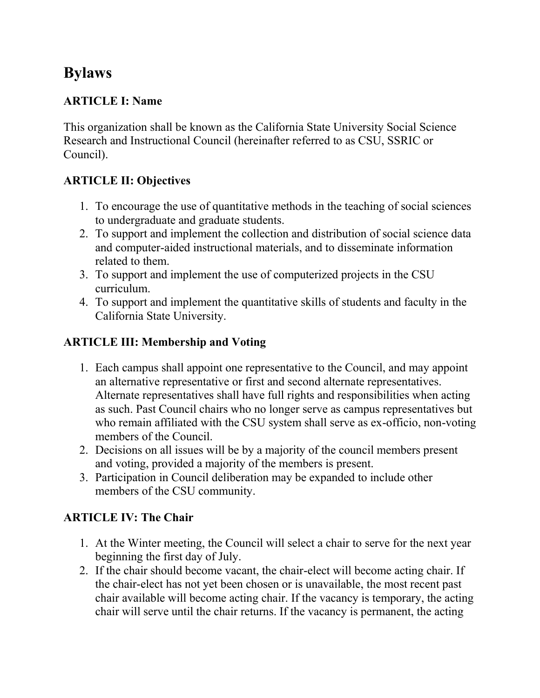# **Bylaws**

# **ARTICLE I: Name**

This organization shall be known as the California State University Social Science Research and Instructional Council (hereinafter referred to as CSU, SSRIC or Council).

# **ARTICLE II: Objectives**

- 1. To encourage the use of quantitative methods in the teaching of social sciences to undergraduate and graduate students.
- 2. To support and implement the collection and distribution of social science data and computer-aided instructional materials, and to disseminate information related to them.
- 3. To support and implement the use of computerized projects in the CSU curriculum.
- 4. To support and implement the quantitative skills of students and faculty in the California State University.

#### **ARTICLE III: Membership and Voting**

- 1. Each campus shall appoint one representative to the Council, and may appoint an alternative representative or first and second alternate representatives. Alternate representatives shall have full rights and responsibilities when acting as such. Past Council chairs who no longer serve as campus representatives but who remain affiliated with the CSU system shall serve as ex-officio, non-voting members of the Council.
- 2. Decisions on all issues will be by a majority of the council members present and voting, provided a majority of the members is present.
- 3. Participation in Council deliberation may be expanded to include other members of the CSU community.

# **ARTICLE IV: The Chair**

- 1. At the Winter meeting, the Council will select a chair to serve for the next year beginning the first day of July.
- 2. If the chair should become vacant, the chair-elect will become acting chair. If the chair-elect has not yet been chosen or is unavailable, the most recent past chair available will become acting chair. If the vacancy is temporary, the acting chair will serve until the chair returns. If the vacancy is permanent, the acting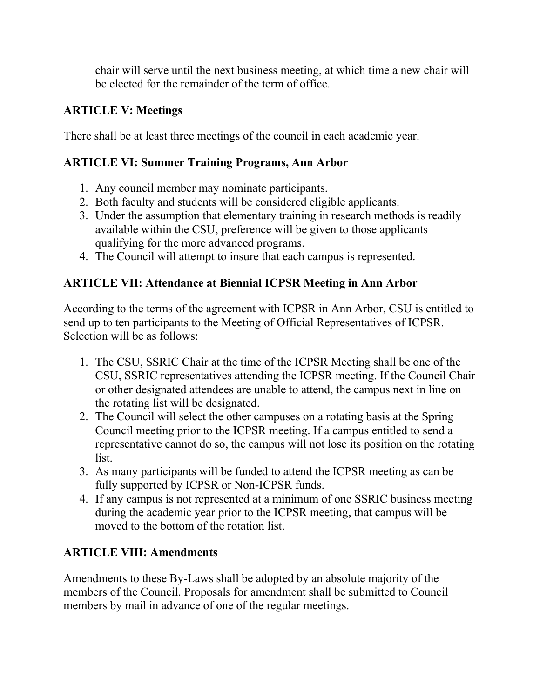chair will serve until the next business meeting, at which time a new chair will be elected for the remainder of the term of office.

### **ARTICLE V: Meetings**

There shall be at least three meetings of the council in each academic year.

#### **ARTICLE VI: Summer Training Programs, Ann Arbor**

- 1. Any council member may nominate participants.
- 2. Both faculty and students will be considered eligible applicants.
- 3. Under the assumption that elementary training in research methods is readily available within the CSU, preference will be given to those applicants qualifying for the more advanced programs.
- 4. The Council will attempt to insure that each campus is represented.

# **ARTICLE VII: Attendance at Biennial ICPSR Meeting in Ann Arbor**

According to the terms of the agreement with ICPSR in Ann Arbor, CSU is entitled to send up to ten participants to the Meeting of Official Representatives of ICPSR. Selection will be as follows:

- 1. The CSU, SSRIC Chair at the time of the ICPSR Meeting shall be one of the CSU, SSRIC representatives attending the ICPSR meeting. If the Council Chair or other designated attendees are unable to attend, the campus next in line on the rotating list will be designated.
- 2. The Council will select the other campuses on a rotating basis at the Spring Council meeting prior to the ICPSR meeting. If a campus entitled to send a representative cannot do so, the campus will not lose its position on the rotating list.
- 3. As many participants will be funded to attend the ICPSR meeting as can be fully supported by ICPSR or Non-ICPSR funds.
- 4. If any campus is not represented at a minimum of one SSRIC business meeting during the academic year prior to the ICPSR meeting, that campus will be moved to the bottom of the rotation list.

# **ARTICLE VIII: Amendments**

Amendments to these By-Laws shall be adopted by an absolute majority of the members of the Council. Proposals for amendment shall be submitted to Council members by mail in advance of one of the regular meetings.